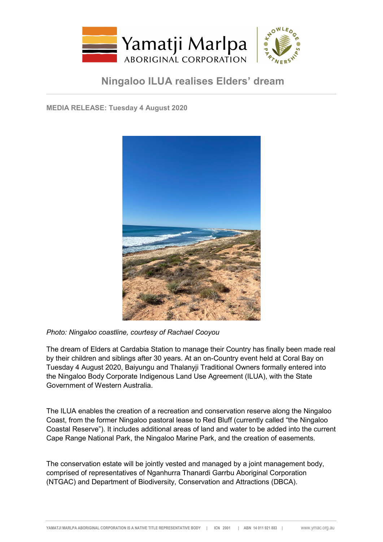

## **Ningaloo ILUA realises Elders' dream**

**MEDIA RELEASE: Tuesday 4 August 2020**



*Photo: Ningaloo coastline, courtesy of Rachael Cooyou*

The dream of Elders at Cardabia Station to manage their Country has finally been made real by their children and siblings after 30 years. At an on-Country event held at Coral Bay on Tuesday 4 August 2020, Baiyungu and Thalanyji Traditional Owners formally entered into the Ningaloo Body Corporate Indigenous Land Use Agreement (ILUA), with the State Government of Western Australia.

The ILUA enables the creation of a recreation and conservation reserve along the Ningaloo Coast, from the former Ningaloo pastoral lease to Red Bluff (currently called "the Ningaloo Coastal Reserve"). It includes additional areas of land and water to be added into the current Cape Range National Park, the Ningaloo Marine Park, and the creation of easements.

The conservation estate will be jointly vested and managed by a joint management body, comprised of representatives of Nganhurra Thanardi Garrbu Aboriginal Corporation (NTGAC) and Department of Biodiversity, Conservation and Attractions (DBCA).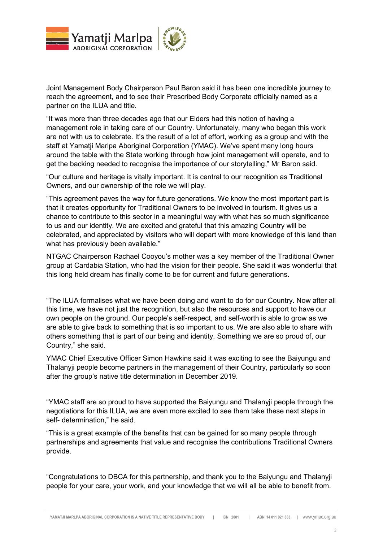

Joint Management Body Chairperson Paul Baron said it has been one incredible journey to reach the agreement, and to see their Prescribed Body Corporate officially named as a partner on the ILUA and title.

"It was more than three decades ago that our Elders had this notion of having a management role in taking care of our Country. Unfortunately, many who began this work are not with us to celebrate. It's the result of a lot of effort, working as a group and with the staff at Yamatji Marlpa Aboriginal Corporation (YMAC). We've spent many long hours around the table with the State working through how joint management will operate, and to get the backing needed to recognise the importance of our storytelling," Mr Baron said.

"Our culture and heritage is vitally important. It is central to our recognition as Traditional Owners, and our ownership of the role we will play.

"This agreement paves the way for future generations. We know the most important part is that it creates opportunity for Traditional Owners to be involved in tourism. It gives us a chance to contribute to this sector in a meaningful way with what has so much significance to us and our identity. We are excited and grateful that this amazing Country will be celebrated, and appreciated by visitors who will depart with more knowledge of this land than what has previously been available."

NTGAC Chairperson Rachael Cooyou's mother was a key member of the Traditional Owner group at Cardabia Station, who had the vision for their people. She said it was wonderful that this long held dream has finally come to be for current and future generations.

"The ILUA formalises what we have been doing and want to do for our Country. Now after all this time, we have not just the recognition, but also the resources and support to have our own people on the ground. Our people's self-respect, and self-worth is able to grow as we are able to give back to something that is so important to us. We are also able to share with others something that is part of our being and identity. Something we are so proud of, our Country," she said.

YMAC Chief Executive Officer Simon Hawkins said it was exciting to see the Baiyungu and Thalanyji people become partners in the management of their Country, particularly so soon after the group's native title determination in December 2019.

"YMAC staff are so proud to have supported the Baiyungu and Thalanyji people through the negotiations for this ILUA, we are even more excited to see them take these next steps in self- determination," he said.

"This is a great example of the benefits that can be gained for so many people through partnerships and agreements that value and recognise the contributions Traditional Owners provide.

"Congratulations to DBCA for this partnership, and thank you to the Baiyungu and Thalanyji people for your care, your work, and your knowledge that we will all be able to benefit from.